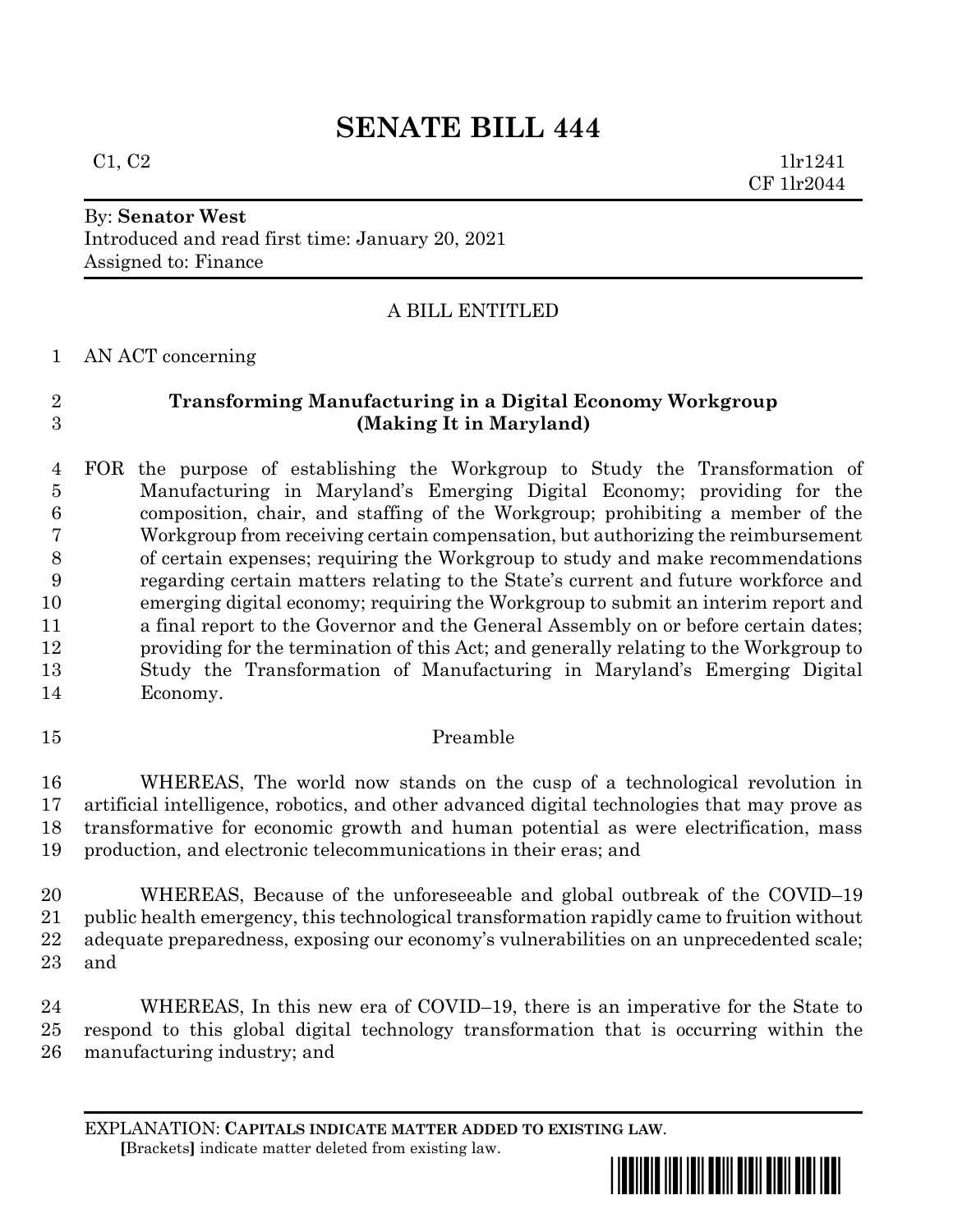# **SENATE BILL 444**

 $C1, C2$  1lr1241 CF 1lr2044

# By: **Senator West**

Introduced and read first time: January 20, 2021 Assigned to: Finance

## A BILL ENTITLED

AN ACT concerning

# **Transforming Manufacturing in a Digital Economy Workgroup (Making It in Maryland)**

 FOR the purpose of establishing the Workgroup to Study the Transformation of Manufacturing in Maryland's Emerging Digital Economy; providing for the composition, chair, and staffing of the Workgroup; prohibiting a member of the Workgroup from receiving certain compensation, but authorizing the reimbursement of certain expenses; requiring the Workgroup to study and make recommendations regarding certain matters relating to the State's current and future workforce and emerging digital economy; requiring the Workgroup to submit an interim report and a final report to the Governor and the General Assembly on or before certain dates; providing for the termination of this Act; and generally relating to the Workgroup to Study the Transformation of Manufacturing in Maryland's Emerging Digital Economy.

## Preamble

 WHEREAS, The world now stands on the cusp of a technological revolution in artificial intelligence, robotics, and other advanced digital technologies that may prove as transformative for economic growth and human potential as were electrification, mass production, and electronic telecommunications in their eras; and

 WHEREAS, Because of the unforeseeable and global outbreak of the COVID–19 public health emergency, this technological transformation rapidly came to fruition without adequate preparedness, exposing our economy's vulnerabilities on an unprecedented scale; and

 WHEREAS, In this new era of COVID–19, there is an imperative for the State to respond to this global digital technology transformation that is occurring within the manufacturing industry; and

EXPLANATION: **CAPITALS INDICATE MATTER ADDED TO EXISTING LAW**.  **[**Brackets**]** indicate matter deleted from existing law.

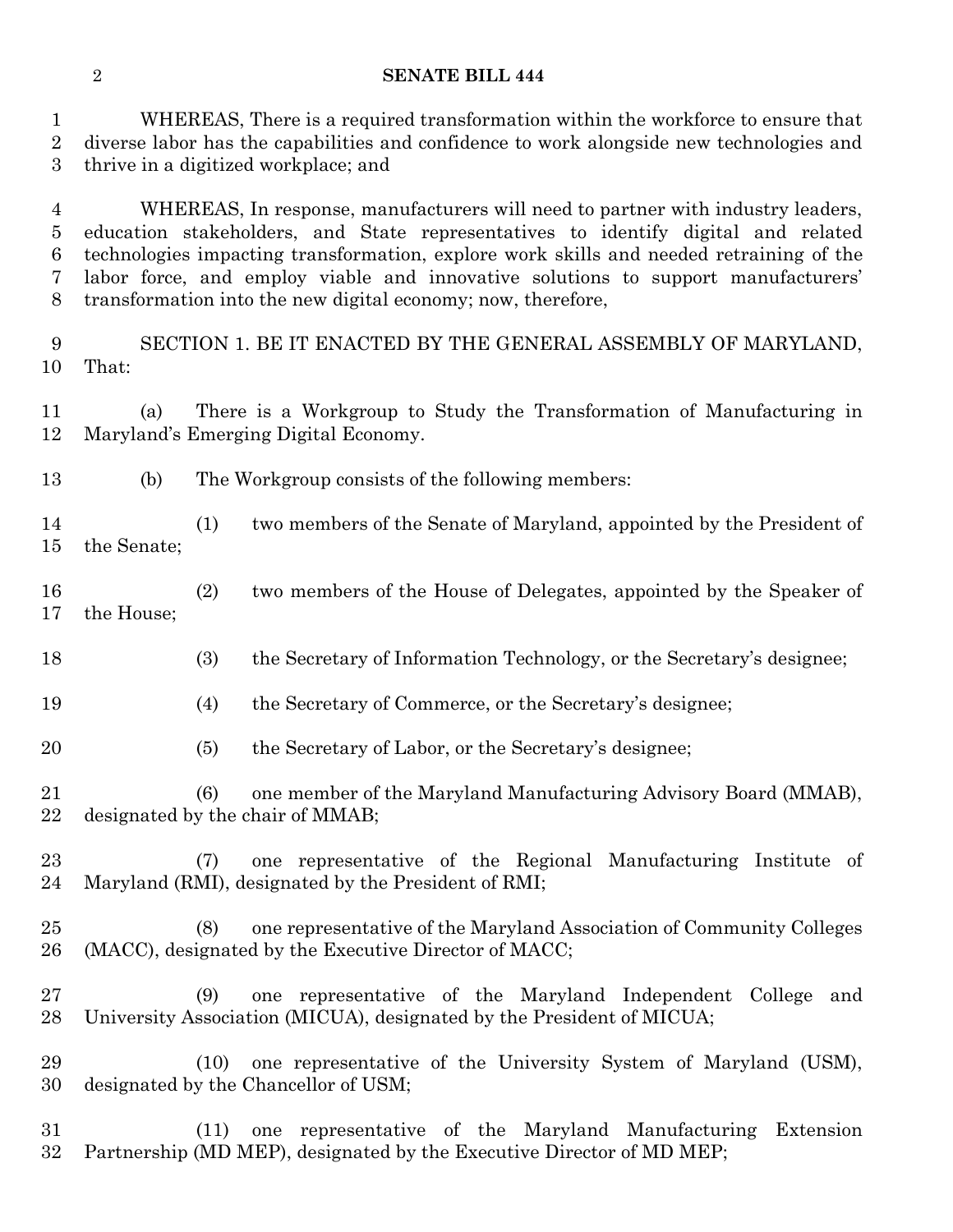#### **SENATE BILL 444**

 WHEREAS, There is a required transformation within the workforce to ensure that diverse labor has the capabilities and confidence to work alongside new technologies and thrive in a digitized workplace; and

 WHEREAS, In response, manufacturers will need to partner with industry leaders, education stakeholders, and State representatives to identify digital and related technologies impacting transformation, explore work skills and needed retraining of the labor force, and employ viable and innovative solutions to support manufacturers' transformation into the new digital economy; now, therefore,

 SECTION 1. BE IT ENACTED BY THE GENERAL ASSEMBLY OF MARYLAND, That:

 (a) There is a Workgroup to Study the Transformation of Manufacturing in Maryland's Emerging Digital Economy.

- (b) The Workgroup consists of the following members:
- (1) two members of the Senate of Maryland, appointed by the President of the Senate;
- (2) two members of the House of Delegates, appointed by the Speaker of the House;
- (3) the Secretary of Information Technology, or the Secretary's designee;
- (4) the Secretary of Commerce, or the Secretary's designee;
- (5) the Secretary of Labor, or the Secretary's designee;
- (6) one member of the Maryland Manufacturing Advisory Board (MMAB), designated by the chair of MMAB;
- (7) one representative of the Regional Manufacturing Institute of Maryland (RMI), designated by the President of RMI;
- (8) one representative of the Maryland Association of Community Colleges (MACC), designated by the Executive Director of MACC;
- (9) one representative of the Maryland Independent College and University Association (MICUA), designated by the President of MICUA;
- (10) one representative of the University System of Maryland (USM), designated by the Chancellor of USM;
- (11) one representative of the Maryland Manufacturing Extension Partnership (MD MEP), designated by the Executive Director of MD MEP;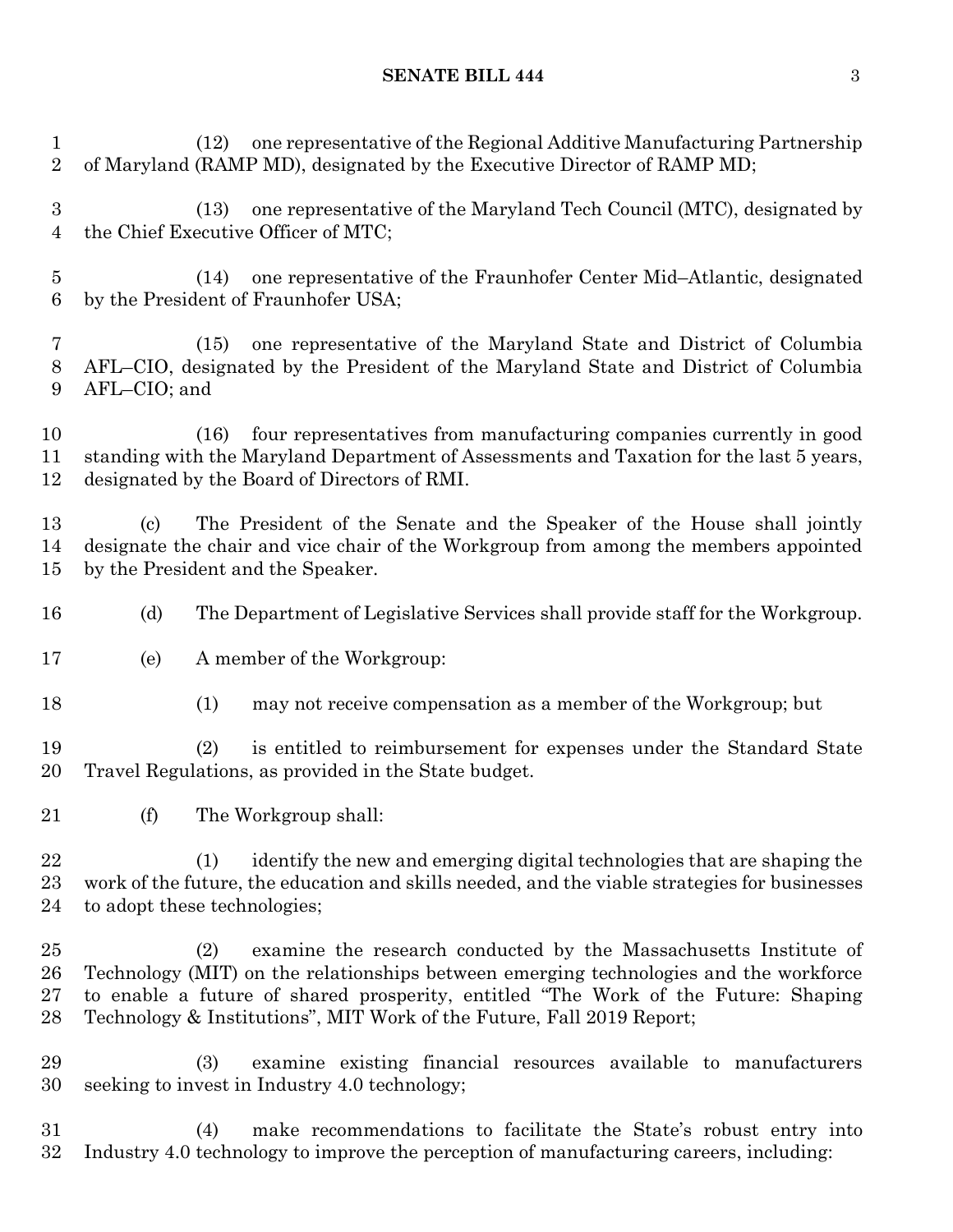#### **SENATE BILL 444** 3

 (12) one representative of the Regional Additive Manufacturing Partnership of Maryland (RAMP MD), designated by the Executive Director of RAMP MD; (13) one representative of the Maryland Tech Council (MTC), designated by the Chief Executive Officer of MTC; (14) one representative of the Fraunhofer Center Mid–Atlantic, designated by the President of Fraunhofer USA; (15) one representative of the Maryland State and District of Columbia AFL–CIO, designated by the President of the Maryland State and District of Columbia AFL–CIO; and (16) four representatives from manufacturing companies currently in good standing with the Maryland Department of Assessments and Taxation for the last 5 years, designated by the Board of Directors of RMI. (c) The President of the Senate and the Speaker of the House shall jointly designate the chair and vice chair of the Workgroup from among the members appointed by the President and the Speaker. (d) The Department of Legislative Services shall provide staff for the Workgroup. (e) A member of the Workgroup: (1) may not receive compensation as a member of the Workgroup; but (2) is entitled to reimbursement for expenses under the Standard State Travel Regulations, as provided in the State budget. (f) The Workgroup shall:

 (1) identify the new and emerging digital technologies that are shaping the work of the future, the education and skills needed, and the viable strategies for businesses to adopt these technologies;

 (2) examine the research conducted by the Massachusetts Institute of Technology (MIT) on the relationships between emerging technologies and the workforce to enable a future of shared prosperity, entitled "The Work of the Future: Shaping Technology & Institutions", MIT Work of the Future, Fall 2019 Report;

 (3) examine existing financial resources available to manufacturers seeking to invest in Industry 4.0 technology;

 (4) make recommendations to facilitate the State's robust entry into Industry 4.0 technology to improve the perception of manufacturing careers, including: